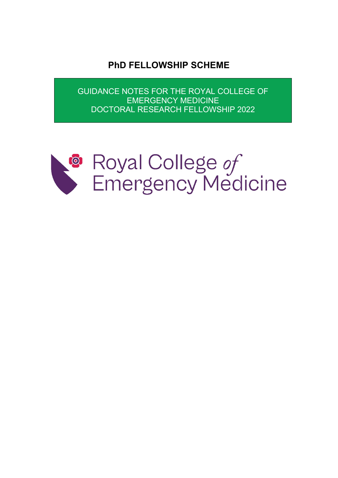**PhD FELLOWSHIP SCHEME**

GUIDANCE NOTES FOR THE ROYAL COLLEGE OF EMERGENCY MEDICINE DOCTORAL RESEARCH FELLOWSHIP 2022

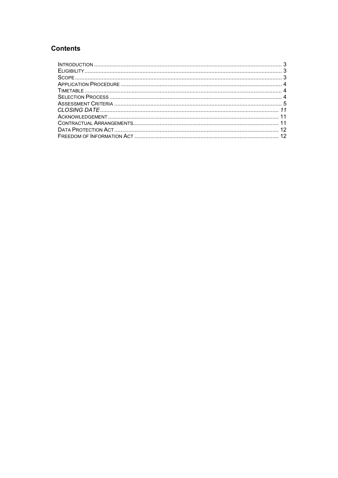# **Contents**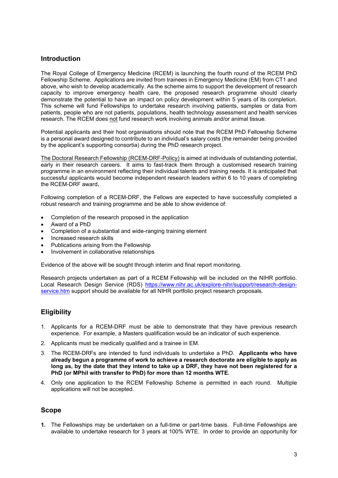## <span id="page-2-0"></span>**Introduction**

The Royal College of Emergency Medicine (RCEM) is launching the fourth round of the RCEM PhD Fellowship Scheme. Applications are invited from trainees in Emergency Medicine (EM) from CT1 and above, who wish to develop academically. As the scheme aims to support the development of research capacity to improve emergency health care, the proposed research programme should clearly demonstrate the potential to have an impact on policy development within 5 years of its completion. This scheme will fund Fellowships to undertake research involving patients, samples or data from patients, people who are not patients, populations, health technology assessment and health services research. The RCEM does not fund research work involving animals and/or animal tissue.

Potential applicants and their host organisations should note that the RCEM PhD Fellowship Scheme is a personal award designed to contribute to an individual's salary costs (the remainder being provided by the applicant's supporting consortia) during the PhD research project.

The Doctoral Research Fellowship (RCEM-DRF-Policy) is aimed at individuals of outstanding potential, early in their research careers. It aims to fast-track them through a customised research training programme in an environment reflecting their individual talents and training needs. It is anticipated that successful applicants would become independent research leaders within 6 to 10 years of completing the RCEM-DRF award**.**

Following completion of a RCEM-DRF, the Fellows are expected to have successfully completed a robust research and training programme and be able to show evidence of:

- Completion of the research proposed in the application
- Award of a PhD
- Completion of a substantial and wide-ranging training element
- Increased research skills
- Publications arising from the Fellowship
- Involvement in collaborative relationships

Evidence of the above will be sought through interim and final report monitoring.

<span id="page-2-1"></span>Research projects undertaken as part of a RCEM Fellowship will be included on the NIHR portfolio. Local Research Design Service (RDS) [https://www.nihr.ac.uk/explore-nihr/support/research-design](https://www.nihr.ac.uk/explore-nihr/support/research-design-service.htm)[service.htm](https://www.nihr.ac.uk/explore-nihr/support/research-design-service.htm) support should be available for all NIHR portfolio project research proposals.

## **Eligibility**

- 1. Applicants for a RCEM-DRF must be able to demonstrate that they have previous research experience. For example, a Masters qualification would be an indicator of such experience.
- 2. Applicants must be medically qualified and a trainee in EM.
- 3. The RCEM-DRFs are intended to fund individuals to undertake a PhD. **Applicants who have already begun a programme of work to achieve a research doctorate are eligible to apply as long as, by the date that they intend to take up a DRF, they have not been registered for a PhD (or MPhil with transfer to PhD) for more than 12 months WTE.**
- 4. Only one application to the RCEM Fellowship Scheme is permitted in each round. Multiple applications will not be accepted.

## <span id="page-2-2"></span>**Scope**

**1.** The Fellowships may be undertaken on a full-time or part-time basis. Full-time Fellowships are available to undertake research for 3 years at 100% WTE. In order to provide an opportunity for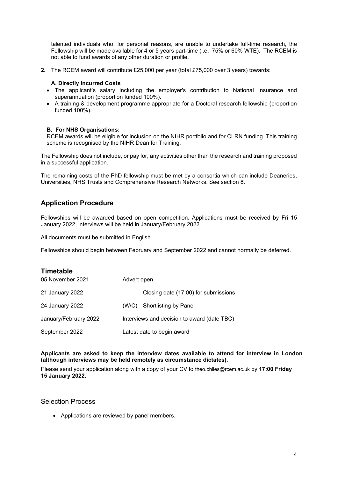talented individuals who, for personal reasons, are unable to undertake full-time research, the Fellowship will be made available for 4 or 5 years part-time (i.e. 75% or 60% WTE). The RCEM is not able to fund awards of any other duration or profile.

**2.** The RCEM award will contribute £25,000 per year (total £75,000 over 3 years) towards:

### **A. Directly Incurred Costs**

- The applicant's salary including the employer's contribution to National Insurance and superannuation (proportion funded 100%).
- A training & development programme appropriate for a Doctoral research fellowship (proportion funded 100%).

#### **B. For NHS Organisations:**

RCEM awards will be eligible for inclusion on the NIHR portfolio and for CLRN funding. This training scheme is recognised by the NIHR Dean for Training.

The Fellowship does not include, or pay for, any activities other than the research and training proposed in a successful application.

<span id="page-3-0"></span>The remaining costs of the PhD fellowship must be met by a consortia which can include Deaneries, Universities, NHS Trusts and Comprehensive Research Networks. See section 8.

## **Application Procedure**

Fellowships will be awarded based on open competition. Applications must be received by Fri 15 January 2022, interviews will be held in January/February 2022

All documents must be submitted in English.

<span id="page-3-1"></span>Fellowships should begin between February and September 2022 and cannot normally be deferred.

| <b>Timetable</b>      |                                             |  |  |
|-----------------------|---------------------------------------------|--|--|
| 05 November 2021      | Advert open                                 |  |  |
| 21 January 2022       | Closing date (17:00) for submissions        |  |  |
| 24 January 2022       | <b>Shortlisting by Panel</b><br>(W/C)       |  |  |
| January/February 2022 | Interviews and decision to award (date TBC) |  |  |
| September 2022        | Latest date to begin award                  |  |  |

#### **Applicants are asked to keep the interview dates available to attend for interview in London (although interviews may be held remotely as circumstance dictates).**

Please send your application along with a copy of your CV to theo.chiles@rcem.ac.uk by **17:00 Friday 15 January 2022.**

### Selection Process

<span id="page-3-2"></span>• Applications are reviewed by panel members.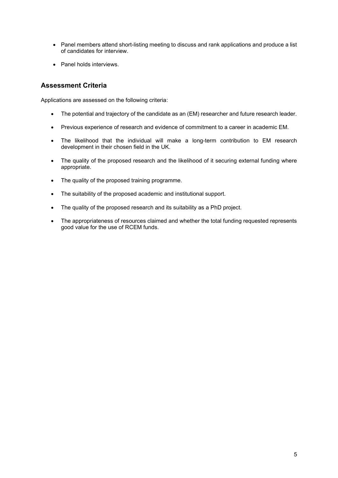- Panel members attend short-listing meeting to discuss and rank applications and produce a list of candidates for interview.
- Panel holds interviews.

## <span id="page-4-0"></span>**Assessment Criteria**

Applications are assessed on the following criteria:

- The potential and trajectory of the candidate as an (EM) researcher and future research leader.
- Previous experience of research and evidence of commitment to a career in academic EM.
- The likelihood that the individual will make a long-term contribution to EM research development in their chosen field in the UK.
- The quality of the proposed research and the likelihood of it securing external funding where appropriate.
- The quality of the proposed training programme.
- The suitability of the proposed academic and institutional support.
- The quality of the proposed research and its suitability as a PhD project.
- The appropriateness of resources claimed and whether the total funding requested represents good value for the use of RCEM funds.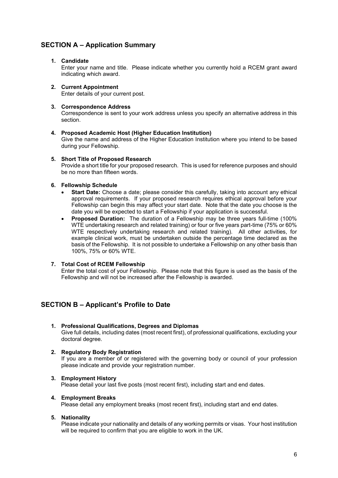## **SECTION A – Application Summary**

### **1. Candidate**

Enter your name and title. Please indicate whether you currently hold a RCEM grant award indicating which award.

#### **2. Current Appointment** Enter details of your current post.

#### **3. Correspondence Address**

Correspondence is sent to your work address unless you specify an alternative address in this section.

#### **4. Proposed Academic Host (Higher Education Institution)**

Give the name and address of the Higher Education Institution where you intend to be based during your Fellowship.

#### **5. Short Title of Proposed Research**

Provide a short title for your proposed research. This is used for reference purposes and should be no more than fifteen words.

#### **6. Fellowship Schedule**

- **Start Date:** Choose a date; please consider this carefully, taking into account any ethical approval requirements. If your proposed research requires ethical approval before your Fellowship can begin this may affect your start date. Note that the date you choose is the date you will be expected to start a Fellowship if your application is successful.
- **Proposed Duration:** The duration of a Fellowship may be three years full-time (100% WTE undertaking research and related training) or four or five years part-time (75% or 60% WTE respectively undertaking research and related training). All other activities, for example clinical work, must be undertaken outside the percentage time declared as the basis of the Fellowship. It is not possible to undertake a Fellowship on any other basis than 100%, 75% or 60% WTE.

### **7. Total Cost of RCEM Fellowship**

Enter the total cost of your Fellowship. Please note that this figure is used as the basis of the Fellowship and will not be increased after the Fellowship is awarded.

## **SECTION B – Applicant's Profile to Date**

**1. Professional Qualifications, Degrees and Diplomas** Give full details, including dates (most recent first), of professional qualifications, excluding your doctoral degree.

### **2. Regulatory Body Registration**

If you are a member of or registered with the governing body or council of your profession please indicate and provide your registration number.

#### **3. Employment History**

Please detail your last five posts (most recent first), including start and end dates.

#### **4. Employment Breaks**

Please detail any employment breaks (most recent first), including start and end dates.

#### **5. Nationality**

Please indicate your nationality and details of any working permits or visas. Your host institution will be required to confirm that you are eligible to work in the UK.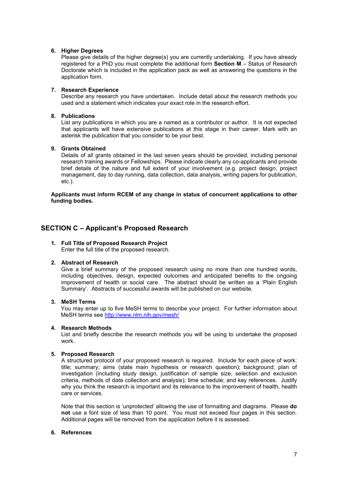#### **6. Higher Degrees**

Please give details of the higher degree(s) you are currently undertaking. If you have already registered for a PhD you must complete the additional form **Section M** – Status of Research Doctorate which is included in the application pack as well as answering the questions in the application form.

### **7. Research Experience**

Describe any research you have undertaken. Include detail about the research methods you used and a statement which indicates your exact role in the research effort.

#### **8. Publications**

List any publications in which you are a named as a contributor or author. It is not expected that applicants will have extensive publications at this stage in their career. Mark with an asterisk the publication that you consider to be your best.

## **9. Grants Obtained**

Details of all grants obtained in the last seven years should be provided, including personal research training awards or Fellowships. Please indicate clearly any co-applicants and provide brief details of the nature and full extent of your involvement (e.g. project design, project management, day to day running, data collection, data analysis, writing papers for publication, etc.).

#### **Applicants must inform RCEM of any change in status of concurrent applications to other funding bodies.**

## **SECTION C – Applicant's Proposed Research**

## **1. Full Title of Proposed Research Project**

Enter the full title of the proposed research.

#### **2. Abstract of Research**

Give a brief summary of the proposed research using no more than one hundred words, including objectives, design, expected outcomes and anticipated benefits to the ongoing improvement of health or social care. The abstract should be written as a 'Plain English Summary'. Abstracts of successful awards will be published on our website.

### **3. MeSH Terms**

You may enter up to five MeSH terms to describe your project. For further information about MeSH terms see<http://www.nlm.nih.gov/mesh/>

#### **4. Research Methods**

List and briefly describe the research methods you will be using to undertake the proposed work.

#### **5. Proposed Research**

A structured protocol of your proposed research is required. Include for each piece of work: title; summary; aims (state main hypothesis or research question); background; plan of investigation (including study design, justification of sample size, selection and exclusion criteria, methods of data collection and analysis); time schedule; and key references. Justify why you think the research is important and its relevance to the improvement of health, health care or services.

Note that this section is 'unprotected' allowing the use of formatting and diagrams. Please **do not** use a font size of less than 10 point. You must not exceed four pages in this section. Additional pages will be removed from the application before it is assessed.

#### **6. References**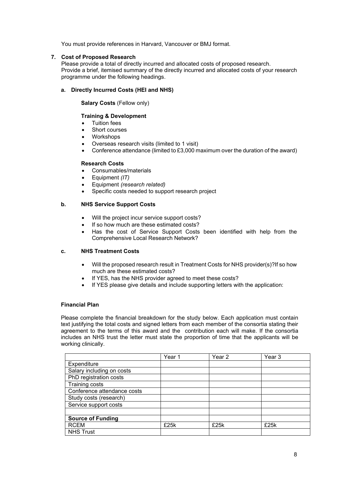You must provide references in Harvard, Vancouver or BMJ format.

#### **7. Cost of Proposed Research**

Please provide a total of directly incurred and allocated costs of proposed research. Provide a brief, itemised summary of the directly incurred and allocated costs of your research programme under the following headings.

## **a. Directly Incurred Costs (HEI and NHS)**

**Salary Costs** (Fellow only)

### **Training & Development**

- Tuition fees
- Short courses
- Workshops
- Overseas research visits (limited to 1 visit)
- Conference attendance (limited to £3,000 maximum over the duration of the award)

#### **Research Costs**

- Consumables/materials
- Equipment *(IT)*
- Equipment *(research related)*
- Specific costs needed to support research project

#### **b. NHS Service Support Costs**

- Will the project incur service support costs?
- If so how much are these estimated costs?
- Has the cost of Service Support Costs been identified with help from the Comprehensive Local Research Network?

## **c. NHS Treatment Costs**

- Will the proposed research result in Treatment Costs for NHS provider(s)?If so how much are these estimated costs?
- If YES, has the NHS provider agreed to meet these costs?
- If YES please give details and include supporting letters with the application:

#### **Financial Plan**

Please complete the financial breakdown for the study below. Each application must contain text justifying the total costs and signed letters from each member of the consortia stating their agreement to the terms of this award and the contribution each will make. If the consortia includes an NHS trust the letter must state the proportion of time that the applicants will be working clinically.

|                             | Year 1 | Year 2 | Year 3 |
|-----------------------------|--------|--------|--------|
| Expenditure                 |        |        |        |
| Salary including on costs   |        |        |        |
| PhD registration costs      |        |        |        |
| Training costs              |        |        |        |
| Conference attendance costs |        |        |        |
| Study costs (research)      |        |        |        |
| Service support costs       |        |        |        |
|                             |        |        |        |
| <b>Source of Funding</b>    |        |        |        |
| <b>RCEM</b>                 | £25k   | £25k   | £25k   |
| <b>NHS Trust</b>            |        |        |        |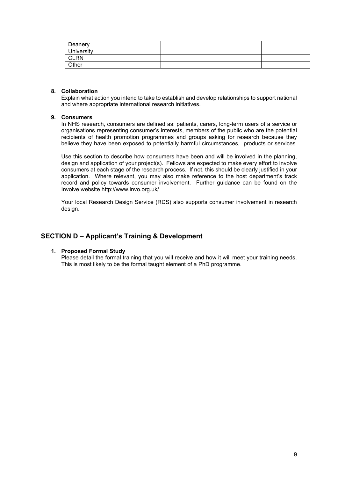| Deanery           |  |  |
|-------------------|--|--|
| <b>University</b> |  |  |
| CLRN              |  |  |
| Other             |  |  |

### **8. Collaboration**

Explain what action you intend to take to establish and develop relationships to support national and where appropriate international research initiatives.

### **9. Consumers**

In NHS research, consumers are defined as: patients, carers, long-term users of a service or organisations representing consumer's interests, members of the public who are the potential recipients of health promotion programmes and groups asking for research because they believe they have been exposed to potentially harmful circumstances, products or services.

Use this section to describe how consumers have been and will be involved in the planning, design and application of your project(s). Fellows are expected to make every effort to involve consumers at each stage of the research process. If not, this should be clearly justified in your application. Where relevant, you may also make reference to the host department's track record and policy towards consumer involvement. Further guidance can be found on the Involve website <http://www.invo.org.uk/>

Your local Research Design Service (RDS) also supports consumer involvement in research design.

## **SECTION D – Applicant's Training & Development**

#### **1. Proposed Formal Study**

Please detail the formal training that you will receive and how it will meet your training needs. This is most likely to be the formal taught element of a PhD programme.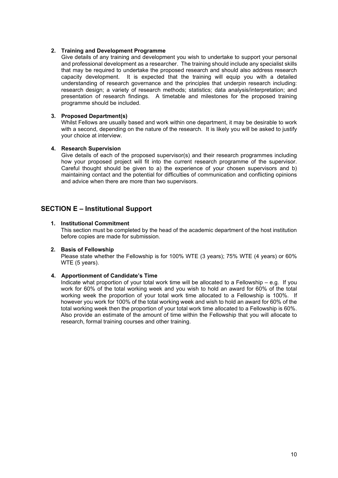### **2. Training and Development Programme**

Give details of any training and development you wish to undertake to support your personal and professional development as a researcher. The training should include any specialist skills that may be required to undertake the proposed research and should also address research capacity development. It is expected that the training will equip you with a detailed understanding of research governance and the principles that underpin research including: research design; a variety of research methods; statistics; data analysis/interpretation; and presentation of research findings. A timetable and milestones for the proposed training programme should be included.

### **3. Proposed Department(s)**

Whilst Fellows are usually based and work within one department, it may be desirable to work with a second, depending on the nature of the research. It is likely you will be asked to justify your choice at interview.

#### **4. Research Supervision**

Give details of each of the proposed supervisor(s) and their research programmes including how your proposed project will fit into the current research programme of the supervisor. Careful thought should be given to a) the experience of your chosen supervisors and b) maintaining contact and the potential for difficulties of communication and conflicting opinions and advice when there are more than two supervisors.

## **SECTION E – Institutional Support**

#### **1. Institutional Commitment**

This section must be completed by the head of the academic department of the host institution before copies are made for submission.

### **2. Basis of Fellowship**

Please state whether the Fellowship is for 100% WTE (3 years); 75% WTE (4 years) or 60% WTE (5 years).

#### **4. Apportionment of Candidate's Time**

Indicate what proportion of your total work time will be allocated to a Fellowship – e.g. If you work for 60% of the total working week and you wish to hold an award for 60% of the total working week the proportion of your total work time allocated to a Fellowship is 100%. If however you work for 100% of the total working week and wish to hold an award for 60% of the total working week then the proportion of your total work time allocated to a Fellowship is 60%. Also provide an estimate of the amount of time within the Fellowship that you will allocate to research, formal training courses and other training.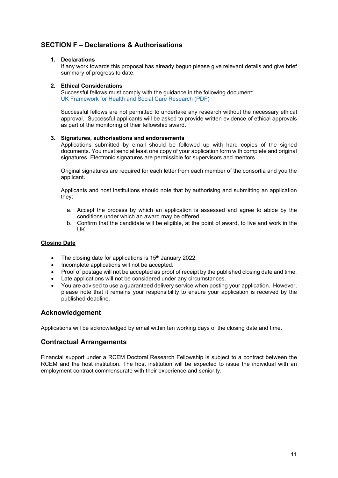# **SECTION F – Declarations & Authorisations**

## **1. Declarations**

If any work towards this proposal has already begun please give relevant details and give brief summary of progress to date.

### **2. Ethical Considerations**

Successful fellows must comply with the guidance in the following document: [UK Framework for Health and Social Care Research \(PDF\)](https://www.hra.nhs.uk/documents/1068/uk-policy-framework-health-social-care-research.pdf)

Successful fellows are not permitted to undertake any research without the necessary ethical approval. Successful applicants will be asked to provide written evidence of ethical approvals as part of the monitoring of their fellowship award.

### **3. Signatures, authorisations and endorsements**

Applications submitted by email should be followed up with hard copies of the signed documents. You must send at least one copy of your application form with complete and original signatures. Electronic signatures are permissible for supervisors and mentors.

Original signatures are required for each letter from each member of the consortia and you the applicant.

Applicants and host institutions should note that by authorising and submitting an application they:

- a. Accept the process by which an application is assessed and agree to abide by the conditions under which an award may be offered
- b. Confirm that the candidate will be eligible, at the point of award, to live and work in the UK

## <span id="page-10-0"></span>**Closing Date**

- The closing date for applications is 15<sup>th</sup> January 2022.
- Incomplete applications will not be accepted.
- Proof of postage will not be accepted as proof of receipt by the published closing date and time.
- Late applications will not be considered under any circumstances.
- You are advised to use a guaranteed delivery service when posting your application. However, please note that it remains your responsibility to ensure your application is received by the published deadline.

## <span id="page-10-1"></span>**Acknowledgement**

<span id="page-10-2"></span>Applications will be acknowledged by email within ten working days of the closing date and time.

## **Contractual Arrangements**

<span id="page-10-3"></span>Financial support under a RCEM Doctoral Research Fellowship is subject to a contract between the RCEM and the host institution. The host institution will be expected to issue the individual with an employment contract commensurate with their experience and seniority.